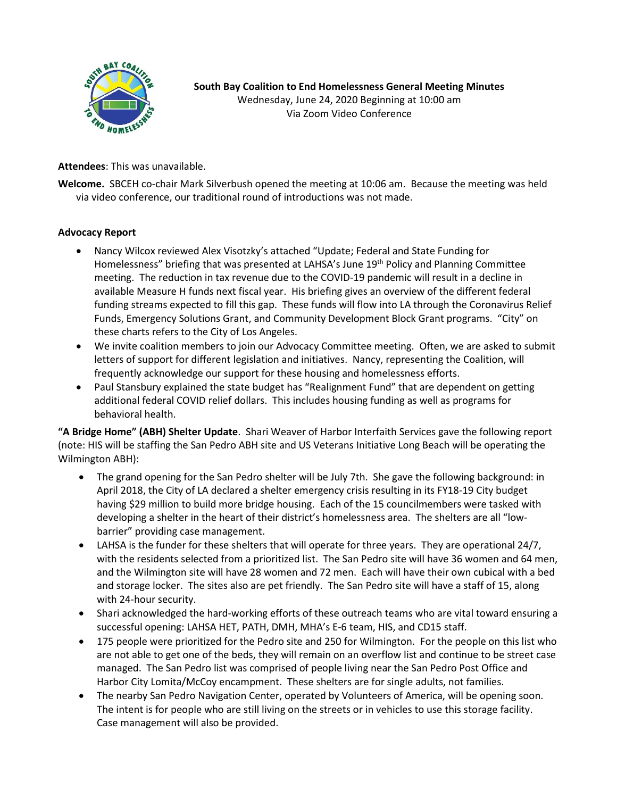

**South Bay Coalition to End Homelessness General Meeting Minutes** Wednesday, June 24, 2020 Beginning at 10:00 am Via Zoom Video Conference

**Attendees**: This was unavailable.

**Welcome.** SBCEH co-chair Mark Silverbush opened the meeting at 10:06 am. Because the meeting was held via video conference, our traditional round of introductions was not made.

## **Advocacy Report**

- Nancy Wilcox reviewed Alex Visotzky's attached "Update; Federal and State Funding for Homelessness" briefing that was presented at LAHSA's June 19<sup>th</sup> Policy and Planning Committee meeting. The reduction in tax revenue due to the COVID-19 pandemic will result in a decline in available Measure H funds next fiscal year. His briefing gives an overview of the different federal funding streams expected to fill this gap. These funds will flow into LA through the Coronavirus Relief Funds, Emergency Solutions Grant, and Community Development Block Grant programs. "City" on these charts refers to the City of Los Angeles.
- We invite coalition members to join our Advocacy Committee meeting. Often, we are asked to submit letters of support for different legislation and initiatives. Nancy, representing the Coalition, will frequently acknowledge our support for these housing and homelessness efforts.
- Paul Stansbury explained the state budget has "Realignment Fund" that are dependent on getting additional federal COVID relief dollars. This includes housing funding as well as programs for behavioral health.

**"A Bridge Home" (ABH) Shelter Update**. Shari Weaver of Harbor Interfaith Services gave the following report (note: HIS will be staffing the San Pedro ABH site and US Veterans Initiative Long Beach will be operating the Wilmington ABH):

- The grand opening for the San Pedro shelter will be July 7th. She gave the following background: in April 2018, the City of LA declared a shelter emergency crisis resulting in its FY18-19 City budget having \$29 million to build more bridge housing. Each of the 15 councilmembers were tasked with developing a shelter in the heart of their district's homelessness area. The shelters are all "lowbarrier" providing case management.
- LAHSA is the funder for these shelters that will operate for three years. They are operational 24/7, with the residents selected from a prioritized list. The San Pedro site will have 36 women and 64 men, and the Wilmington site will have 28 women and 72 men. Each will have their own cubical with a bed and storage locker. The sites also are pet friendly. The San Pedro site will have a staff of 15, along with 24-hour security.
- Shari acknowledged the hard-working efforts of these outreach teams who are vital toward ensuring a successful opening: LAHSA HET, PATH, DMH, MHA's E-6 team, HIS, and CD15 staff.
- 175 people were prioritized for the Pedro site and 250 for Wilmington. For the people on this list who are not able to get one of the beds, they will remain on an overflow list and continue to be street case managed. The San Pedro list was comprised of people living near the San Pedro Post Office and Harbor City Lomita/McCoy encampment. These shelters are for single adults, not families.
- The nearby San Pedro Navigation Center, operated by Volunteers of America, will be opening soon. The intent is for people who are still living on the streets or in vehicles to use this storage facility. Case management will also be provided.